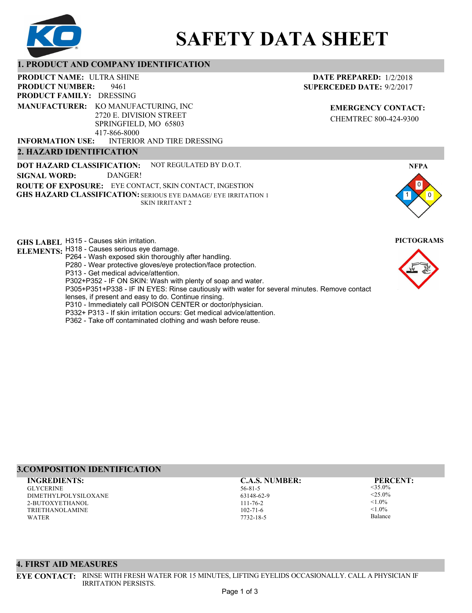

# **SAFETY DATA SHEET**

#### **1. PRODUCT AND COMPANY IDENTIFICATION**

9461 **PRODUCT NAME: ULTRA SHINE PRODUCT FAMILY: DRESSING** INTERIOR AND TIRE DRESSING **PRODUCT NUMBER: 2. HAZARD IDENTIFICATION MANUFACTURER:** KO MANUFACTURING, INC 2720 E. DIVISION STREET SPRINGFIELD, MO 65803 417-866-8000 **INFORMATION USE:**

**DOT HAZARD CLASSIFICATION: GHS HAZARD CLASSIFICATION:** SERIOUS EYE DAMAGE/ EYE IRRITATION 1 **ROUTE OF EXPOSURE:** EYE CONTACT, SKIN CONTACT, INGESTION NOT REGULATED BY D.O.T. SKIN IRRITANT 2 **SIGNAL WORD:** DANGER!

**GHS LABEL**  H315 - Causes skin irritation. **PICTOGRAMS ELEMENTS:** H318 - Causes serious eye damage.

- P264 Wash exposed skin thoroughly after handling.
	- P280 Wear protective gloves/eye protection/face protection.
	- P313 Get medical advice/attention.
- P302+P352 IF ON SKIN: Wash with plenty of soap and water.

P305+P351+P338 - IF IN EYES: Rinse cautiously with water for several minutes. Remove contact

- lenses, if present and easy to do. Continue rinsing.
- P310 Immediately call POISON CENTER or doctor/physician.
- P332+ P313 If skin irritation occurs: Get medical advice/attention.
- P362 Take off contaminated clothing and wash before reuse.

# **DATE PREPARED:** 1/2/2018 **SUPERCEDED DATE:** 9/2/2017

**EMERGENCY CONTACT:** CHEMTREC 800-424-9300





### **3.COMPOSITION IDENTIFICATION**

**GLYCERINE** DIMETHYLPOLYSILOXANE 2-BUTOXYETHANOL TRIETHANOLAMINE WATER **INGREDIENTS: C.A.S. NUMBER: PERCENT:**

56-81-5 63148-62-9 111-76-2 102-71-6 7732-18-5

<35.0%  $<$ 25.0%  $-1.00/$  $< 1.0\%$ Balance

#### **4. FIRST AID MEASURES**

**EYE CONTACT:** RINSE WITH FRESH WATER FOR 15 MINUTES, LIFTING EYELIDS OCCASIONALLY. CALL A PHYSICIAN IF IRRITATION PERSISTS.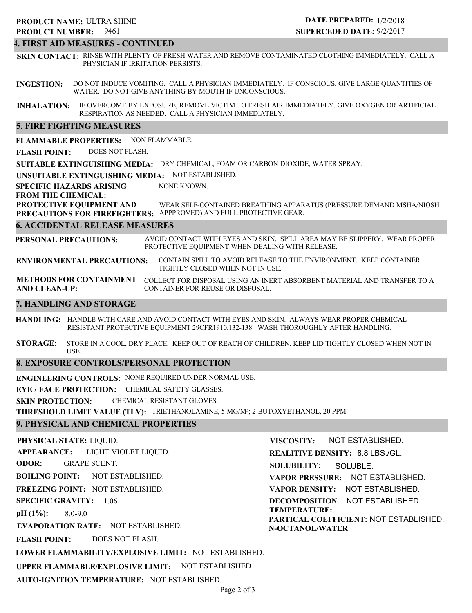# 9461 **PRODUCT NUMBER: PRODUCT NAME: ULTRA SHINE**

# **DATE PREPARED:** 1/2/2018 **SUPERCEDED DATE:** 9/2/2017

# **4. FIRST AID MEASURES - CONTINUED**

**SKIN CONTACT:** RINSE WITH PLENTY OF FRESH WATER AND REMOVE CONTAMINATED CLOTHING IMMEDIATELY. CALL A PHYSICIAN IF IRRITATION PERSISTS.

**INGESTION:** DO NOT INDUCE VOMITING. CALL A PHYSICIAN IMMEDIATELY. IF CONSCIOUS, GIVE LARGE QUANTITIES OF WATER. DO NOT GIVE ANYTHING BY MOUTH IF UNCONSCIOUS.

**INHALATION:** IF OVERCOME BY EXPOSURE, REMOVE VICTIM TO FRESH AIR IMMEDIATELY. GIVE OXYGEN OR ARTIFICIAL RESPIRATION AS NEEDED. CALL A PHYSICIAN IMMEDIATELY.

#### **5. FIRE FIGHTING MEASURES**

**FLAMMABLE PROPERTIES:** NON FLAMMABLE.

**FLASH POINT:** DOES NOT FLASH.

**SUITABLE EXTINGUISHING MEDIA:** DRY CHEMICAL, FOAM OR CARBON DIOXIDE, WATER SPRAY.

**UNSUITABLE EXTINGUISHING MEDIA:** NOT ESTABLISHED.

**SPECIFIC HAZARDS ARISING** NONE KNOWN.

#### **FROM THE CHEMICAL:**

**PROTECTIVE EQUIPMENT AND PRECAUTIONS FOR FIREFIGHTERS:** APPPROVED) AND FULL PROTECTIVE GEAR. WEAR SELF-CONTAINED BREATHING APPARATUS (PRESSURE DEMAND MSHA/NIOSH

### **6. ACCIDENTAL RELEASE MEASURES**

**PERSONAL PRECAUTIONS:** AVOID CONTACT WITH EYES AND SKIN. SPILL AREA MAY BE SLIPPERY. WEAR PROPER PROTECTIVE EQUIPMENT WHEN DEALING WITH RELEASE.

**ENVIRONMENTAL PRECAUTIONS:** CONTAIN SPILL TO AVOID RELEASE TO THE ENVIRONMENT. KEEP CONTAINER TIGHTLY CLOSED WHEN NOT IN USE.

**METHODS FOR CONTAINMENT** COLLECT FOR DISPOSAL USING AN INERT ABSORBENT MATERIAL AND TRANSFER TO A **AND CLEAN-UP:** CONTAINER FOR REUSE OR DISPOSAL.

#### **7. HANDLING AND STORAGE**

**HANDLING:** HANDLE WITH CARE AND AVOID CONTACT WITH EYES AND SKIN. ALWAYS WEAR PROPER CHEMICAL RESISTANT PROTECTIVE EQUIPMENT 29CFR1910.132-138. WASH THOROUGHLY AFTER HANDLING.

**STORAGE:** STORE IN A COOL, DRY PLACE. KEEP OUT OF REACH OF CHILDREN. KEEP LID TIGHTLY CLOSED WHEN NOT IN USE.

#### **8. EXPOSURE CONTROLS/PERSONAL PROTECTION**

**ENGINEERING CONTROLS:** NONE REQUIRED UNDER NORMAL USE.

**EYE / FACE PROTECTION:** CHEMICAL SAFETY GLASSES.

**SKIN PROTECTION:** CHEMICAL RESISTANT GLOVES.

**THRESHOLD LIMIT VALUE (TLV):** TRIETHANOLAMINE, 5 MG/M³; 2-BUTOXYETHANOL, 20 PPM

# **9. PHYSICAL AND CHEMICAL PROPERTIES**

**PHYSICAL STATE:** LIQUID. **APPEARANCE: ODOR: BOILING POINT:** NOT ESTABLISHED. **FREEZING POINT:** NOT ESTABLISHED. **SPECIFIC GRAVITY:** 1.06 **pH (1%): EVAPORATION RATE:** NOT ESTABLISHED. **FLASH POINT: LOWER FLAMMABILITY/EXPLOSIVE LIMIT:** NOT ESTABLISHED. 8.0-9.0 DOES NOT FLASH. LIGHT VIOLET LIQUID. GRAPE SCENT. **VISCOSITY: REALITIVE DENSITY:** 8.8 LBS./GL. **SOLUBILITY: VAPOR PRESSURE:** NOT ESTABLISHED. **VAPOR DENSITY:** NOT ESTABLISHED. **DECOMPOSITION** NOT ESTABLISHED. **TEMPERATURE: PARTICAL COEFFICIENT:** NOT ESTABLISHED. **N-OCTANOL/WATER** NOT ESTABLISHED. SOLUBLE.

**UPPER FLAMMABLE/EXPLOSIVE LIMIT:** NOT ESTABLISHED.

**AUTO-IGNITION TEMPERATURE:** NOT ESTABLISHED.